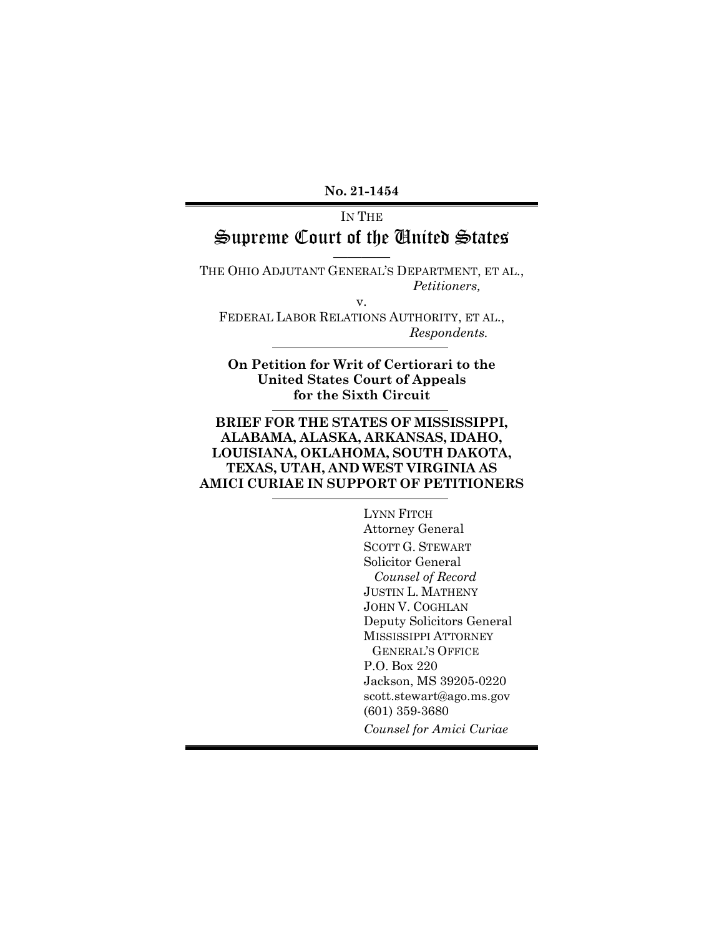**No. 21-1454**

## IN THE Supreme Court of the United States

———— THE OHIO ADJUTANT GENERAL'S DEPARTMENT, ET AL., *Petitioners,*  v.

FEDERAL LABOR RELATIONS AUTHORITY, ET AL., *Respondents.*

**On Petition for Writ of Certiorari to the United States Court of Appeals for the Sixth Circuit**

#### **BRIEF FOR THE STATES OF MISSISSIPPI, ALABAMA, ALASKA, ARKANSAS, IDAHO, LOUISIANA, OKLAHOMA, SOUTH DAKOTA, TEXAS, UTAH, AND WEST VIRGINIA AS AMICI CURIAE IN SUPPORT OF PETITIONERS**

LYNN FITCH Attorney General SCOTT G. STEWART Solicitor General *Counsel of Record* JUSTIN L. MATHENY JOHN V. COGHLAN Deputy Solicitors General MISSISSIPPI ATTORNEY GENERAL'S OFFICE P.O. Box 220 Jackson, MS 39205-0220 scott.stewart@ago.ms.gov (601) 359-3680 *Counsel for Amici Curiae*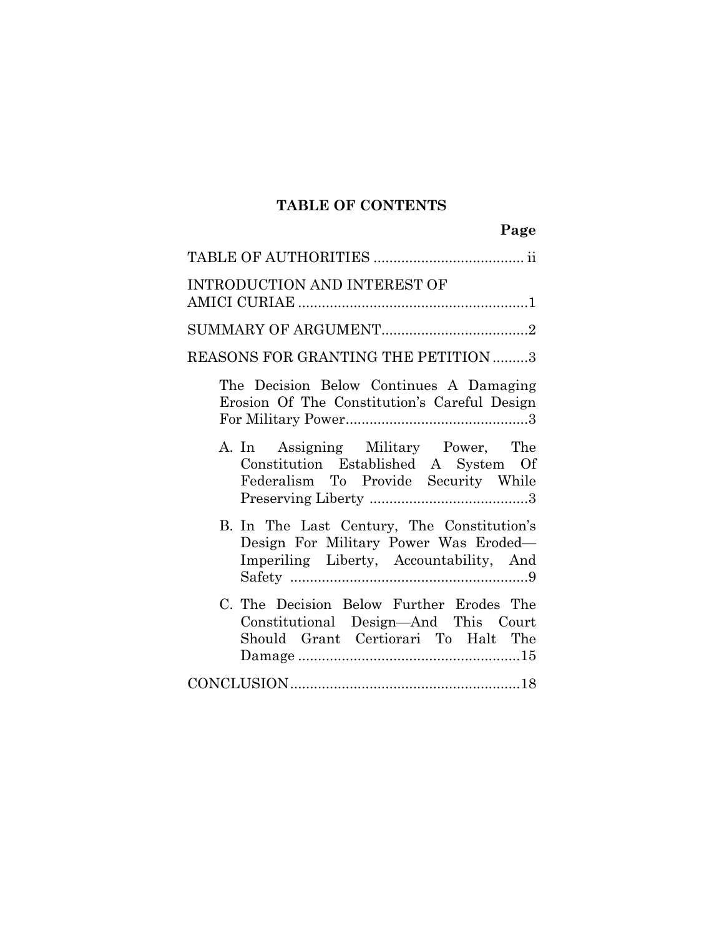# **TABLE OF CONTENTS**

| <b>INTRODUCTION AND INTEREST OF</b>                                                                                            |
|--------------------------------------------------------------------------------------------------------------------------------|
|                                                                                                                                |
| REASONS FOR GRANTING THE PETITION 3                                                                                            |
| The Decision Below Continues A Damaging<br>Erosion Of The Constitution's Careful Design                                        |
| A. In Assigning Military Power, The<br>Constitution Established A System Of<br>Federalism To Provide Security While            |
| B. In The Last Century, The Constitution's<br>Design For Military Power Was Eroded-<br>Imperiling Liberty, Accountability, And |
| C. The Decision Below Further Erodes The<br>Constitutional Design-And This Court<br>Should Grant Certiorari To Halt The        |
|                                                                                                                                |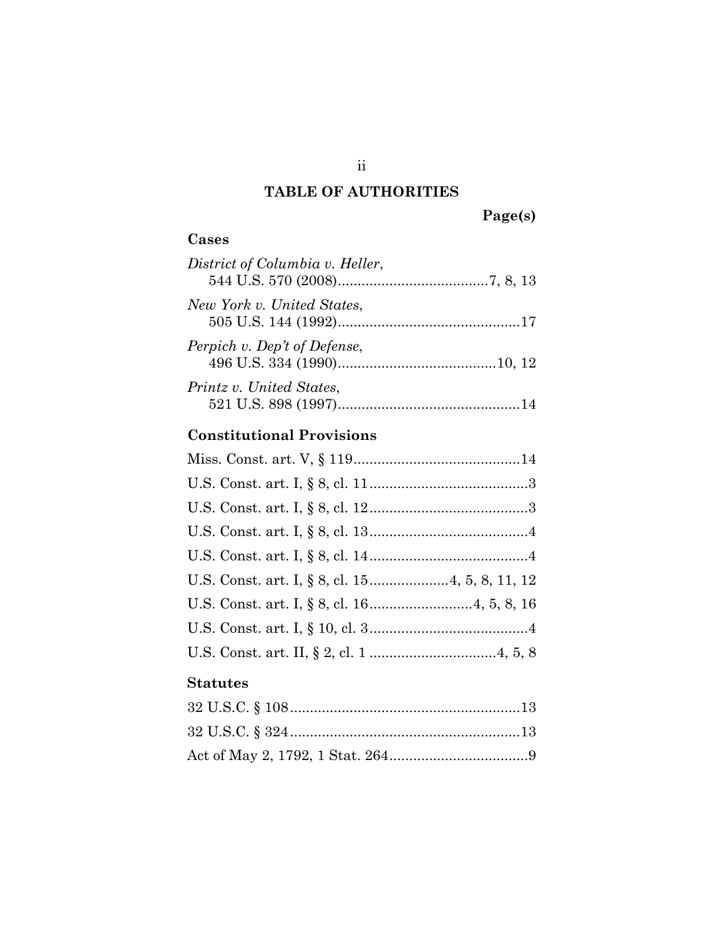# **TABLE OF AUTHORITIES**

**Page(s)**

| ۰.<br>n |
|---------|
|---------|

| District of Columbia v. Heller, |  |
|---------------------------------|--|
| New York v. United States,      |  |
| Perpich v. Dep't of Defense,    |  |
| Printz v. United States,        |  |

# **Constitutional Provisions**

### **Statutes**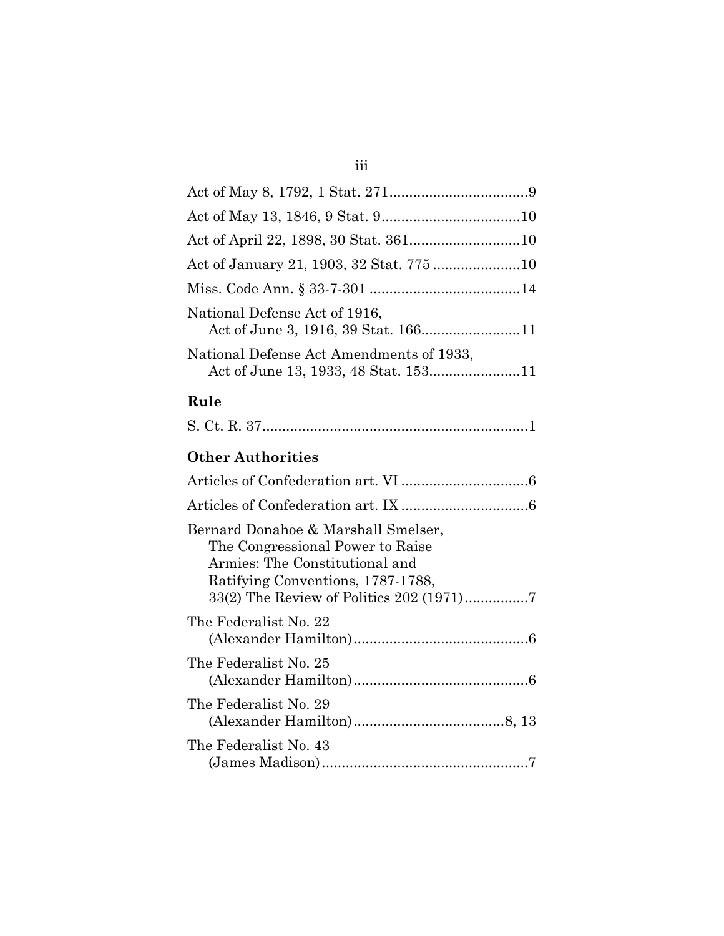### iii

| National Defense Act of 1916,<br>Act of June 3, 1916, 39 Stat. 16611 |
|----------------------------------------------------------------------|
| National Defense Act Amendments of 1933,                             |

### **Rule**

|--|--|--|

### **Other Authorities**

| Bernard Donahoe & Marshall Smelser,<br>The Congressional Power to Raise<br>Armies: The Constitutional and<br>Ratifying Conventions, 1787-1788, |
|------------------------------------------------------------------------------------------------------------------------------------------------|
| The Federalist No. 22                                                                                                                          |
| The Federalist No. 25                                                                                                                          |
| The Federalist No. 29                                                                                                                          |
| The Federalist No. 43                                                                                                                          |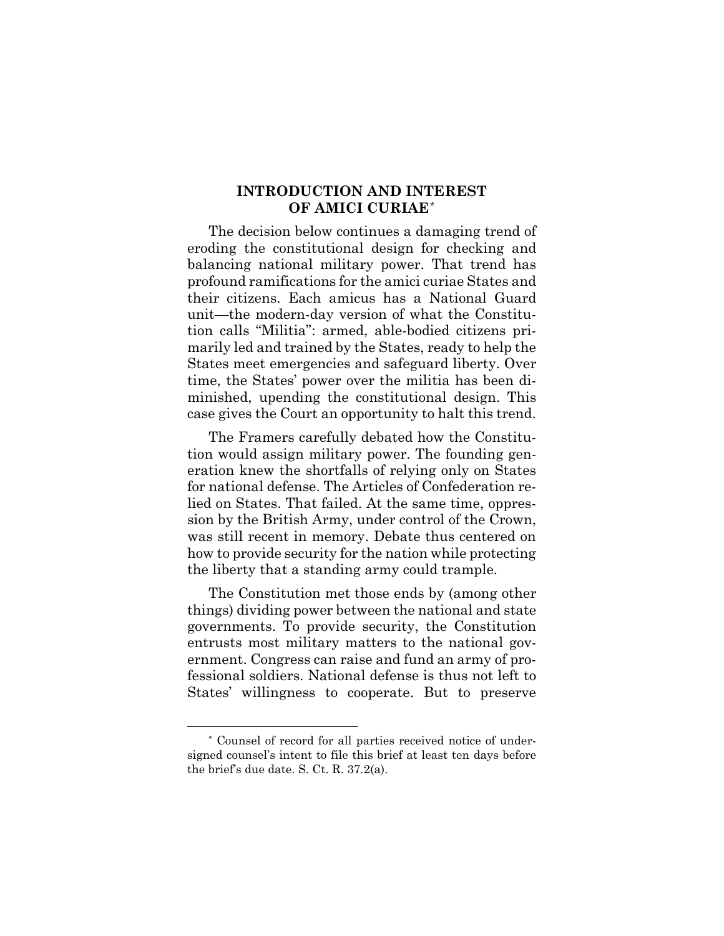### **INTRODUCTION AND INTEREST OF AMICI CURIAE**[\\*](#page-5-0)

The decision below continues a damaging trend of eroding the constitutional design for checking and balancing national military power. That trend has profound ramifications for the amici curiae States and their citizens. Each amicus has a National Guard unit—the modern-day version of what the Constitution calls "Militia": armed, able-bodied citizens primarily led and trained by the States, ready to help the States meet emergencies and safeguard liberty. Over time, the States' power over the militia has been diminished, upending the constitutional design. This case gives the Court an opportunity to halt this trend.

The Framers carefully debated how the Constitution would assign military power. The founding generation knew the shortfalls of relying only on States for national defense. The Articles of Confederation relied on States. That failed. At the same time, oppression by the British Army, under control of the Crown, was still recent in memory. Debate thus centered on how to provide security for the nation while protecting the liberty that a standing army could trample.

The Constitution met those ends by (among other things) dividing power between the national and state governments. To provide security, the Constitution entrusts most military matters to the national government. Congress can raise and fund an army of professional soldiers. National defense is thus not left to States' willingness to cooperate. But to preserve

<span id="page-5-0"></span><sup>\*</sup> Counsel of record for all parties received notice of undersigned counsel's intent to file this brief at least ten days before the brief's due date. S. Ct. R. 37.2(a).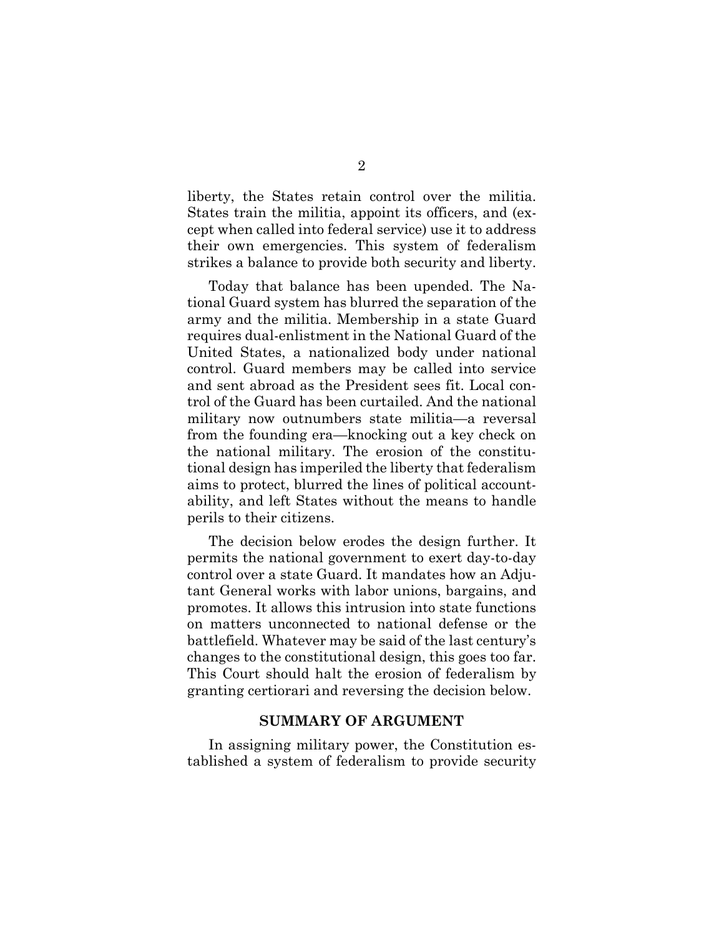liberty, the States retain control over the militia. States train the militia, appoint its officers, and (except when called into federal service) use it to address their own emergencies. This system of federalism strikes a balance to provide both security and liberty.

Today that balance has been upended. The National Guard system has blurred the separation of the army and the militia. Membership in a state Guard requires dual-enlistment in the National Guard of the United States, a nationalized body under national control. Guard members may be called into service and sent abroad as the President sees fit. Local control of the Guard has been curtailed. And the national military now outnumbers state militia—a reversal from the founding era—knocking out a key check on the national military. The erosion of the constitutional design has imperiled the liberty that federalism aims to protect, blurred the lines of political accountability, and left States without the means to handle perils to their citizens.

The decision below erodes the design further. It permits the national government to exert day-to-day control over a state Guard. It mandates how an Adjutant General works with labor unions, bargains, and promotes. It allows this intrusion into state functions on matters unconnected to national defense or the battlefield. Whatever may be said of the last century's changes to the constitutional design, this goes too far. This Court should halt the erosion of federalism by granting certiorari and reversing the decision below.

#### **SUMMARY OF ARGUMENT**

In assigning military power, the Constitution established a system of federalism to provide security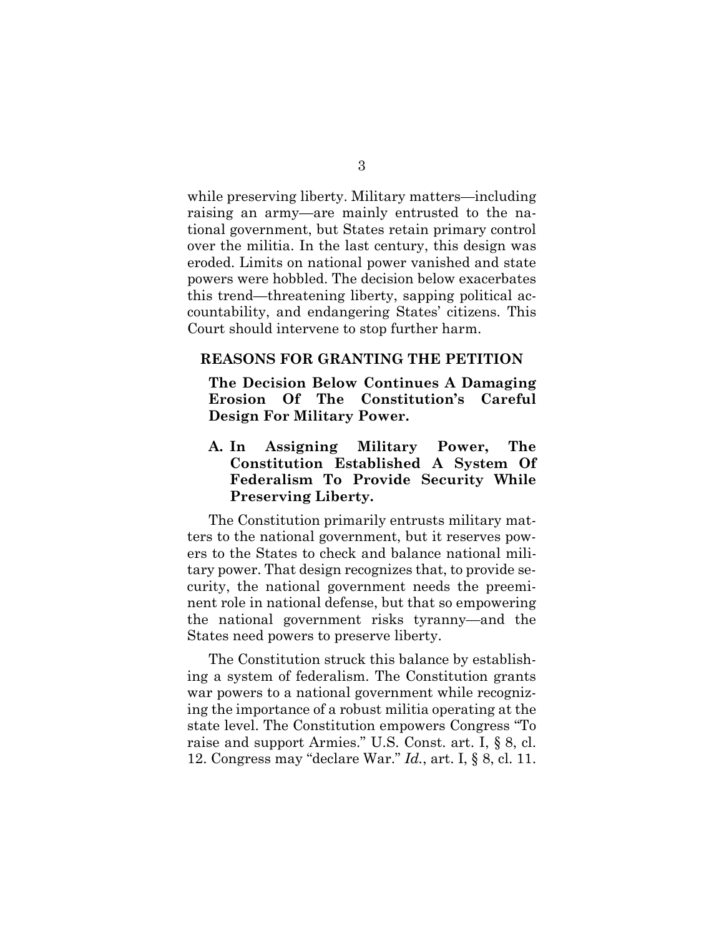while preserving liberty. Military matters—including raising an army—are mainly entrusted to the national government, but States retain primary control over the militia. In the last century, this design was eroded. Limits on national power vanished and state powers were hobbled. The decision below exacerbates this trend—threatening liberty, sapping political accountability, and endangering States' citizens. This Court should intervene to stop further harm.

#### **REASONS FOR GRANTING THE PETITION**

**The Decision Below Continues A Damaging Erosion Of The Constitution's Careful Design For Military Power.**

**A. In Assigning Military Power, The Constitution Established A System Of Federalism To Provide Security While Preserving Liberty.**

The Constitution primarily entrusts military matters to the national government, but it reserves powers to the States to check and balance national military power. That design recognizes that, to provide security, the national government needs the preeminent role in national defense, but that so empowering the national government risks tyranny—and the States need powers to preserve liberty.

The Constitution struck this balance by establishing a system of federalism. The Constitution grants war powers to a national government while recognizing the importance of a robust militia operating at the state level. The Constitution empowers Congress "To raise and support Armies." U.S. Const. art. I, § 8, cl. 12. Congress may "declare War." *Id.*, art. I, § 8, cl. 11.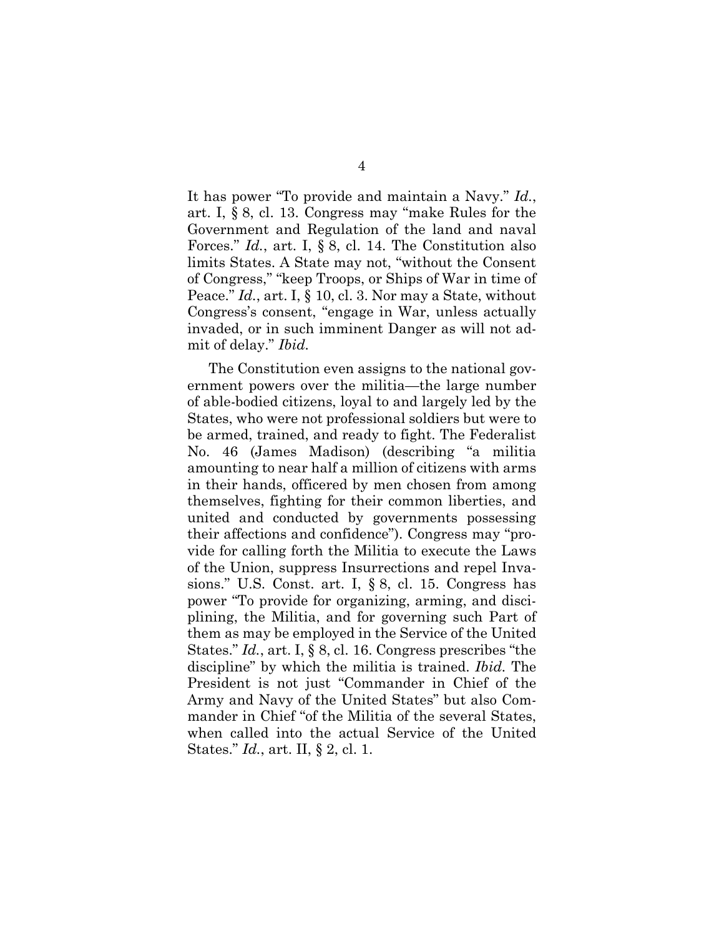It has power "To provide and maintain a Navy." *Id.*, art. I, § 8, cl. 13. Congress may "make Rules for the Government and Regulation of the land and naval Forces." *Id.*, art. I, § 8, cl. 14. The Constitution also limits States. A State may not, "without the Consent of Congress," "keep Troops, or Ships of War in time of Peace." *Id.*, art. I, § 10, cl. 3. Nor may a State, without Congress's consent, "engage in War, unless actually invaded, or in such imminent Danger as will not admit of delay." *Ibid.*

The Constitution even assigns to the national government powers over the militia—the large number of able-bodied citizens, loyal to and largely led by the States, who were not professional soldiers but were to be armed, trained, and ready to fight. The Federalist No. 46 (James Madison) (describing "a militia amounting to near half a million of citizens with arms in their hands, officered by men chosen from among themselves, fighting for their common liberties, and united and conducted by governments possessing their affections and confidence"). Congress may "provide for calling forth the Militia to execute the Laws of the Union, suppress Insurrections and repel Invasions." U.S. Const. art. I, § 8, cl. 15. Congress has power "To provide for organizing, arming, and disciplining, the Militia, and for governing such Part of them as may be employed in the Service of the United States." *Id.*, art. I, § 8, cl. 16. Congress prescribes "the discipline" by which the militia is trained. *Ibid.* The President is not just "Commander in Chief of the Army and Navy of the United States" but also Commander in Chief "of the Militia of the several States, when called into the actual Service of the United States." *Id.*, art. II, § 2, cl. 1.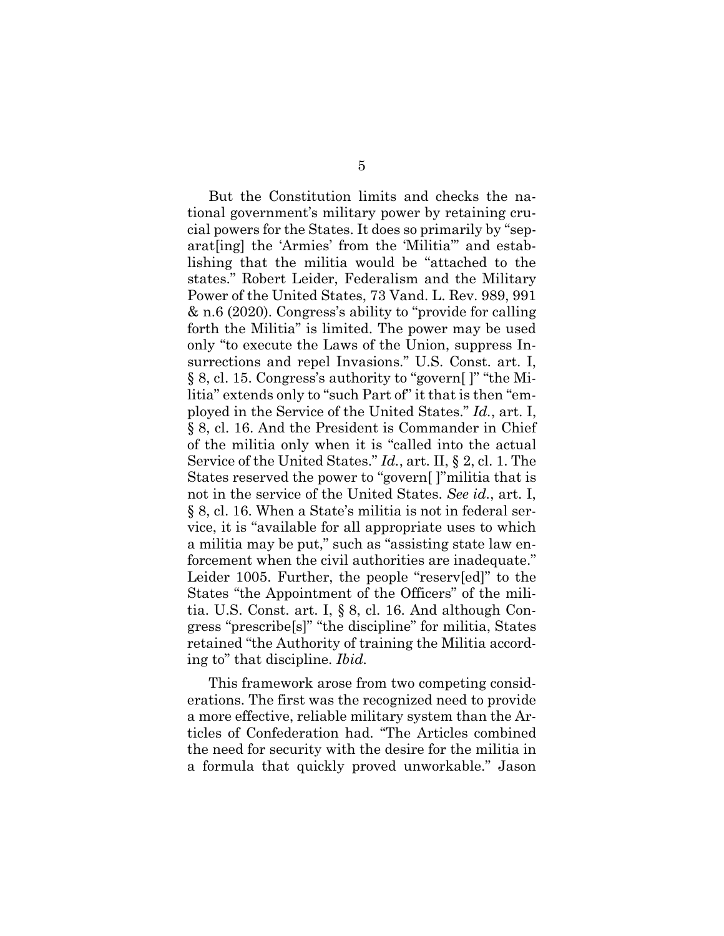But the Constitution limits and checks the national government's military power by retaining crucial powers for the States. It does so primarily by "separat[ing] the 'Armies' from the 'Militia'" and establishing that the militia would be "attached to the states." Robert Leider, Federalism and the Military Power of the United States, 73 Vand. L. Rev. 989, 991 & n.6 (2020). Congress's ability to "provide for calling forth the Militia" is limited. The power may be used only "to execute the Laws of the Union, suppress Insurrections and repel Invasions." U.S. Const. art. I, § 8, cl. 15. Congress's authority to "govern[ ]" "the Militia" extends only to "such Part of" it that is then "employed in the Service of the United States." *Id.*, art. I, § 8, cl. 16. And the President is Commander in Chief of the militia only when it is "called into the actual Service of the United States." *Id.*, art. II, § 2, cl. 1. The States reserved the power to "govern[ ]"militia that is not in the service of the United States. *See id.*, art. I, § 8, cl. 16. When a State's militia is not in federal service, it is "available for all appropriate uses to which a militia may be put," such as "assisting state law enforcement when the civil authorities are inadequate." Leider 1005. Further, the people "reserv[ed]" to the States "the Appointment of the Officers" of the militia. U.S. Const. art. I, § 8, cl. 16. And although Congress "prescribe[s]" "the discipline" for militia, States retained "the Authority of training the Militia according to" that discipline. *Ibid.*

This framework arose from two competing considerations. The first was the recognized need to provide a more effective, reliable military system than the Articles of Confederation had. "The Articles combined the need for security with the desire for the militia in a formula that quickly proved unworkable." Jason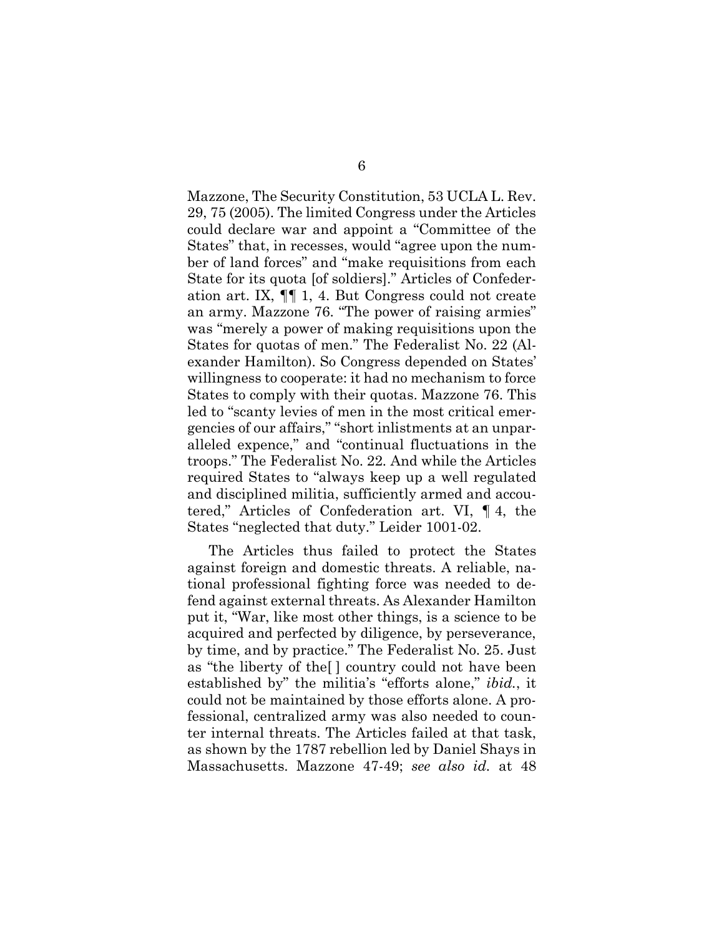Mazzone, The Security Constitution, 53 UCLA L. Rev. 29, 75 (2005). The limited Congress under the Articles could declare war and appoint a "Committee of the States" that, in recesses, would "agree upon the number of land forces" and "make requisitions from each State for its quota [of soldiers]." Articles of Confederation art. IX, ¶¶ 1, 4. But Congress could not create an army. Mazzone 76. "The power of raising armies" was "merely a power of making requisitions upon the States for quotas of men." The Federalist No. 22 (Alexander Hamilton). So Congress depended on States' willingness to cooperate: it had no mechanism to force States to comply with their quotas. Mazzone 76. This led to "scanty levies of men in the most critical emergencies of our affairs," "short inlistments at an unparalleled expence," and "continual fluctuations in the troops." The Federalist No. 22*.* And while the Articles required States to "always keep up a well regulated and disciplined militia, sufficiently armed and accoutered," Articles of Confederation art. VI, ¶ 4, the States "neglected that duty." Leider 1001-02.

The Articles thus failed to protect the States against foreign and domestic threats. A reliable, national professional fighting force was needed to defend against external threats. As Alexander Hamilton put it, "War, like most other things, is a science to be acquired and perfected by diligence, by perseverance, by time, and by practice." The Federalist No. 25. Just as "the liberty of the[ ] country could not have been established by" the militia's "efforts alone," *ibid.*, it could not be maintained by those efforts alone. A professional, centralized army was also needed to counter internal threats. The Articles failed at that task, as shown by the 1787 rebellion led by Daniel Shays in Massachusetts. Mazzone 47-49; *see also id.* at 48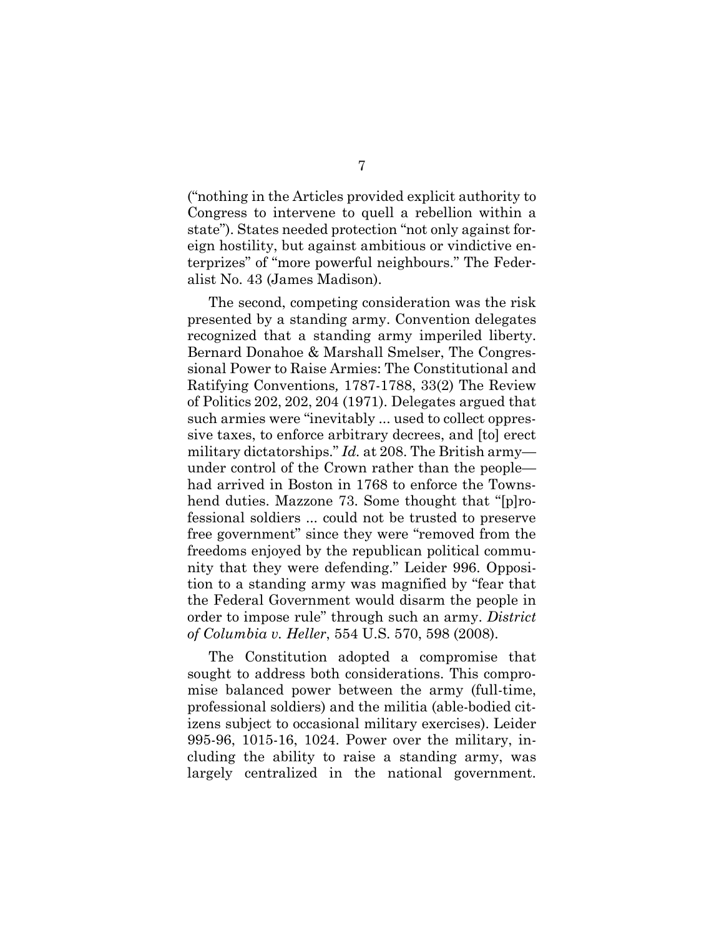("nothing in the Articles provided explicit authority to Congress to intervene to quell a rebellion within a state"). States needed protection "not only against foreign hostility, but against ambitious or vindictive enterprizes" of "more powerful neighbours." The Federalist No. 43 (James Madison).

The second, competing consideration was the risk presented by a standing army. Convention delegates recognized that a standing army imperiled liberty. Bernard Donahoe & Marshall Smelser, The Congressional Power to Raise Armies: The Constitutional and Ratifying Conventions*,* 1787-1788, 33(2) The Review of Politics 202, 202, 204 (1971). Delegates argued that such armies were "inevitably ... used to collect oppressive taxes, to enforce arbitrary decrees, and [to] erect military dictatorships." *Id.* at 208. The British army under control of the Crown rather than the people had arrived in Boston in 1768 to enforce the Townshend duties. Mazzone 73. Some thought that "[p]rofessional soldiers ... could not be trusted to preserve free government" since they were "removed from the freedoms enjoyed by the republican political community that they were defending." Leider 996. Opposition to a standing army was magnified by "fear that the Federal Government would disarm the people in order to impose rule" through such an army. *District of Columbia v. Heller*, 554 U.S. 570, 598 (2008).

The Constitution adopted a compromise that sought to address both considerations. This compromise balanced power between the army (full-time, professional soldiers) and the militia (able-bodied citizens subject to occasional military exercises). Leider 995-96, 1015-16, 1024. Power over the military, including the ability to raise a standing army, was largely centralized in the national government.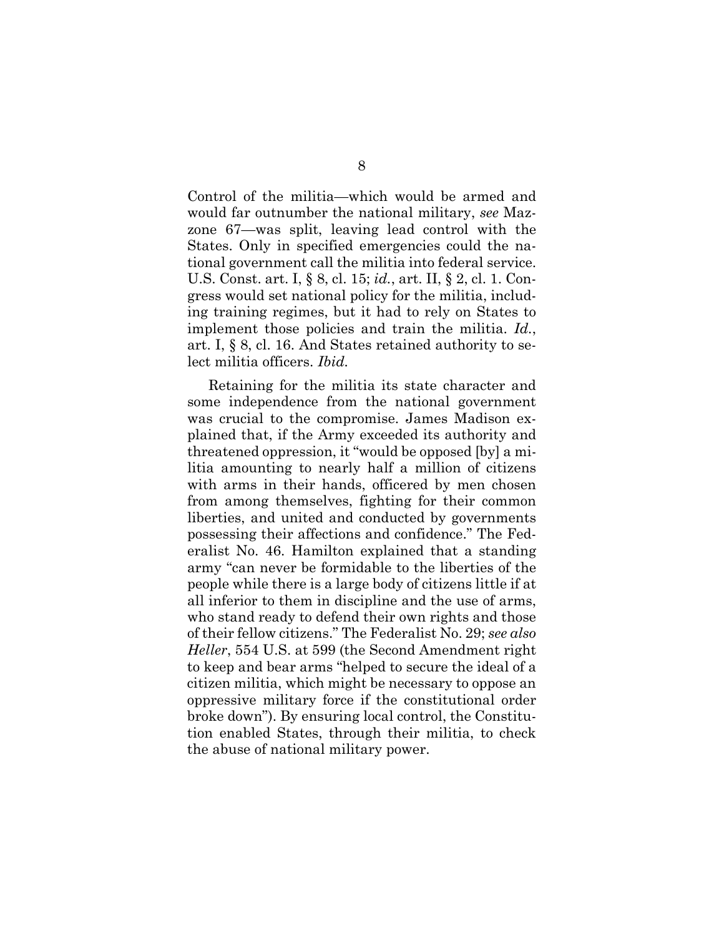Control of the militia—which would be armed and would far outnumber the national military, *see* Mazzone 67—was split, leaving lead control with the States. Only in specified emergencies could the national government call the militia into federal service. U.S. Const. art. I, § 8, cl. 15; *id.*, art. II, § 2, cl. 1. Congress would set national policy for the militia, including training regimes, but it had to rely on States to implement those policies and train the militia. *Id.*, art. I, § 8, cl. 16. And States retained authority to select militia officers. *Ibid.*

Retaining for the militia its state character and some independence from the national government was crucial to the compromise. James Madison explained that, if the Army exceeded its authority and threatened oppression, it "would be opposed [by] a militia amounting to nearly half a million of citizens with arms in their hands, officered by men chosen from among themselves, fighting for their common liberties, and united and conducted by governments possessing their affections and confidence." The Federalist No. 46. Hamilton explained that a standing army "can never be formidable to the liberties of the people while there is a large body of citizens little if at all inferior to them in discipline and the use of arms, who stand ready to defend their own rights and those of their fellow citizens." The Federalist No. 29; *see also Heller*, 554 U.S. at 599 (the Second Amendment right to keep and bear arms "helped to secure the ideal of a citizen militia, which might be necessary to oppose an oppressive military force if the constitutional order broke down"). By ensuring local control, the Constitution enabled States, through their militia, to check the abuse of national military power.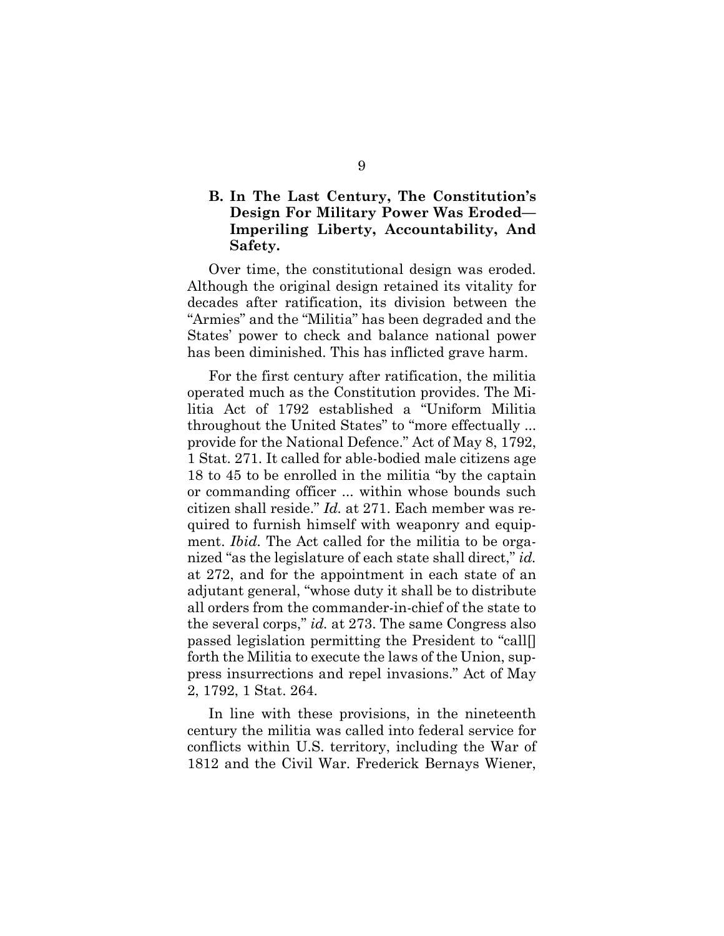### **B. In The Last Century, The Constitution's Design For Military Power Was Eroded— Imperiling Liberty, Accountability, And Safety.**

Over time, the constitutional design was eroded. Although the original design retained its vitality for decades after ratification, its division between the "Armies" and the "Militia" has been degraded and the States' power to check and balance national power has been diminished. This has inflicted grave harm.

For the first century after ratification, the militia operated much as the Constitution provides. The Militia Act of 1792 established a "Uniform Militia throughout the United States" to "more effectually ... provide for the National Defence." Act of May 8, 1792, 1 Stat. 271. It called for able-bodied male citizens age 18 to 45 to be enrolled in the militia "by the captain or commanding officer ... within whose bounds such citizen shall reside." *Id.* at 271. Each member was required to furnish himself with weaponry and equipment. *Ibid*. The Act called for the militia to be organized "as the legislature of each state shall direct," *id.* at 272, and for the appointment in each state of an adjutant general, "whose duty it shall be to distribute all orders from the commander-in-chief of the state to the several corps," *id.* at 273. The same Congress also passed legislation permitting the President to "call[] forth the Militia to execute the laws of the Union, suppress insurrections and repel invasions." Act of May 2, 1792, 1 Stat. 264.

In line with these provisions, in the nineteenth century the militia was called into federal service for conflicts within U.S. territory, including the War of 1812 and the Civil War. Frederick Bernays Wiener,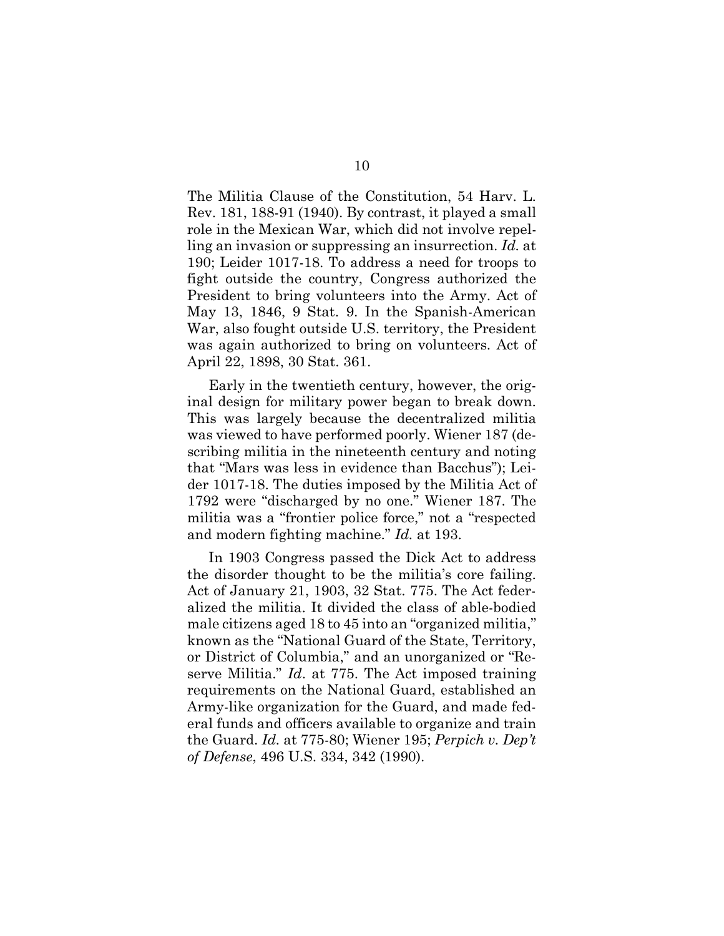The Militia Clause of the Constitution, 54 Harv. L. Rev. 181, 188-91 (1940). By contrast, it played a small role in the Mexican War, which did not involve repelling an invasion or suppressing an insurrection. *Id.* at 190; Leider 1017-18. To address a need for troops to fight outside the country, Congress authorized the President to bring volunteers into the Army. Act of May 13, 1846, 9 Stat. 9. In the Spanish-American War, also fought outside U.S. territory, the President was again authorized to bring on volunteers. Act of April 22, 1898, 30 Stat. 361.

Early in the twentieth century, however, the original design for military power began to break down. This was largely because the decentralized militia was viewed to have performed poorly. Wiener 187 (describing militia in the nineteenth century and noting that "Mars was less in evidence than Bacchus"); Leider 1017-18. The duties imposed by the Militia Act of 1792 were "discharged by no one." Wiener 187. The militia was a "frontier police force," not a "respected and modern fighting machine." *Id.* at 193.

In 1903 Congress passed the Dick Act to address the disorder thought to be the militia's core failing. Act of January 21, 1903, 32 Stat. 775. The Act federalized the militia. It divided the class of able-bodied male citizens aged 18 to 45 into an "organized militia," known as the "National Guard of the State, Territory, or District of Columbia," and an unorganized or "Reserve Militia." *Id*. at 775. The Act imposed training requirements on the National Guard, established an Army-like organization for the Guard, and made federal funds and officers available to organize and train the Guard. *Id.* at 775-80; Wiener 195; *Perpich v. Dep't of Defense*, 496 U.S. 334, 342 (1990).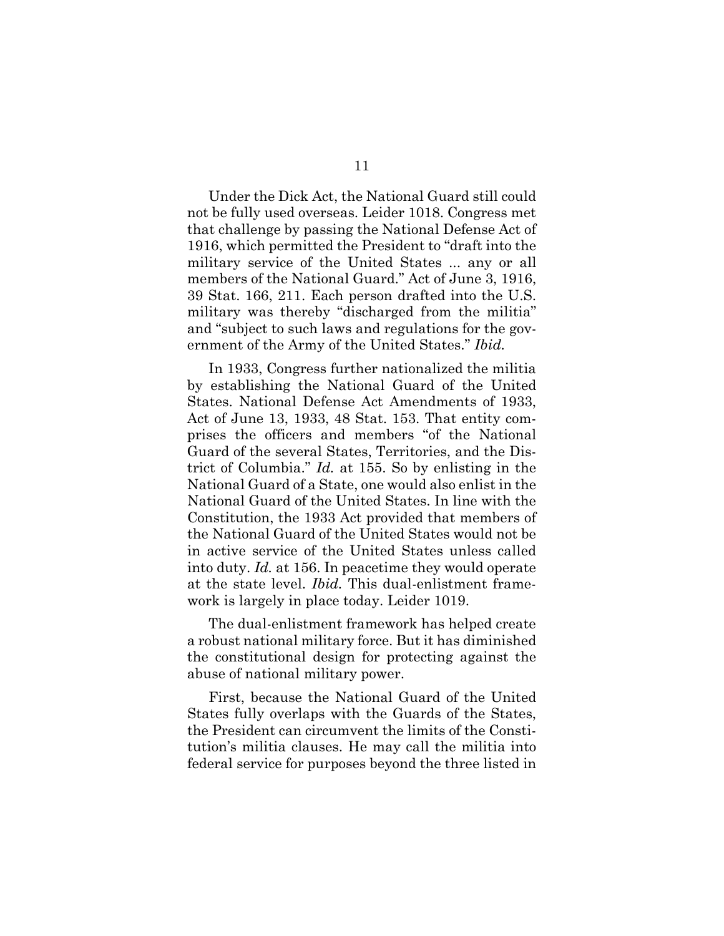Under the Dick Act, the National Guard still could not be fully used overseas. Leider 1018. Congress met that challenge by passing the National Defense Act of 1916, which permitted the President to "draft into the military service of the United States ... any or all members of the National Guard." Act of June 3, 1916, 39 Stat. 166, 211. Each person drafted into the U.S. military was thereby "discharged from the militia" and "subject to such laws and regulations for the government of the Army of the United States." *Ibid.*

In 1933, Congress further nationalized the militia by establishing the National Guard of the United States. National Defense Act Amendments of 1933, Act of June 13, 1933, 48 Stat. 153. That entity comprises the officers and members "of the National Guard of the several States, Territories, and the District of Columbia." *Id.* at 155. So by enlisting in the National Guard of a State, one would also enlist in the National Guard of the United States. In line with the Constitution, the 1933 Act provided that members of the National Guard of the United States would not be in active service of the United States unless called into duty. *Id.* at 156. In peacetime they would operate at the state level. *Ibid.* This dual-enlistment framework is largely in place today. Leider 1019.

The dual-enlistment framework has helped create a robust national military force. But it has diminished the constitutional design for protecting against the abuse of national military power.

First, because the National Guard of the United States fully overlaps with the Guards of the States, the President can circumvent the limits of the Constitution's militia clauses. He may call the militia into federal service for purposes beyond the three listed in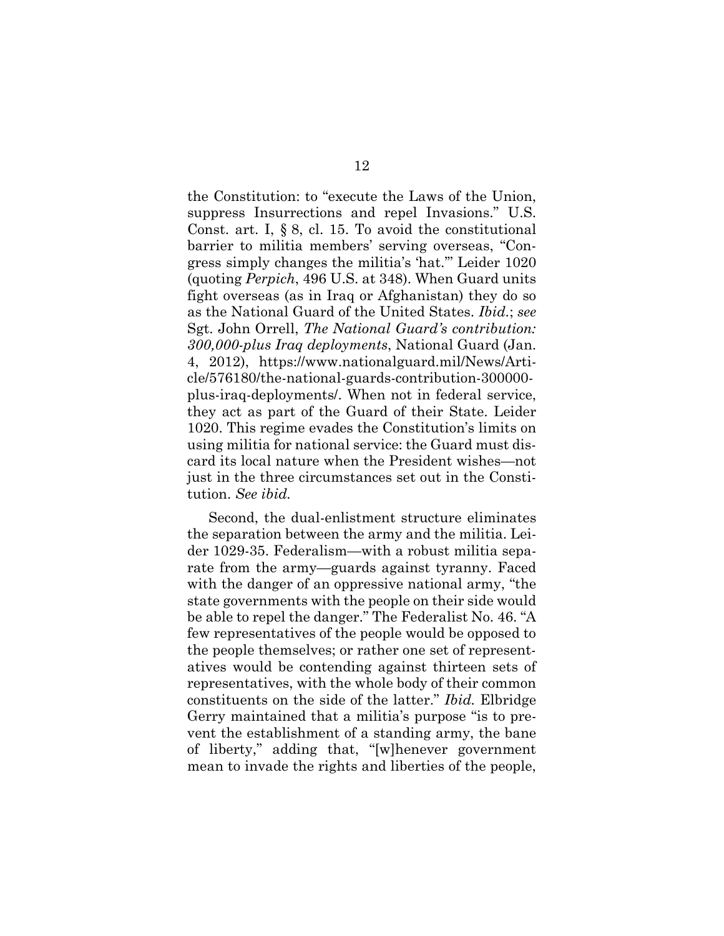the Constitution: to "execute the Laws of the Union, suppress Insurrections and repel Invasions." U.S. Const. art. I, § 8, cl. 15. To avoid the constitutional barrier to militia members' serving overseas, "Congress simply changes the militia's 'hat.'" Leider 1020 (quoting *Perpich*, 496 U.S. at 348). When Guard units fight overseas (as in Iraq or Afghanistan) they do so as the National Guard of the United States. *Ibid.*; *see* Sgt. John Orrell, *The National Guard's contribution: 300,000-plus Iraq deployments*, National Guard (Jan. 4, 2012), https://www.nationalguard.mil/News/Article/576180/the-national-guards-contribution-300000 plus-iraq-deployments/. When not in federal service, they act as part of the Guard of their State. Leider 1020. This regime evades the Constitution's limits on using militia for national service: the Guard must discard its local nature when the President wishes—not just in the three circumstances set out in the Constitution. *See ibid.*

Second, the dual-enlistment structure eliminates the separation between the army and the militia. Leider 1029-35. Federalism—with a robust militia separate from the army—guards against tyranny. Faced with the danger of an oppressive national army, "the state governments with the people on their side would be able to repel the danger." The Federalist No. 46. "A few representatives of the people would be opposed to the people themselves; or rather one set of representatives would be contending against thirteen sets of representatives, with the whole body of their common constituents on the side of the latter." *Ibid.* Elbridge Gerry maintained that a militia's purpose "is to prevent the establishment of a standing army, the bane of liberty," adding that, "[w]henever government mean to invade the rights and liberties of the people,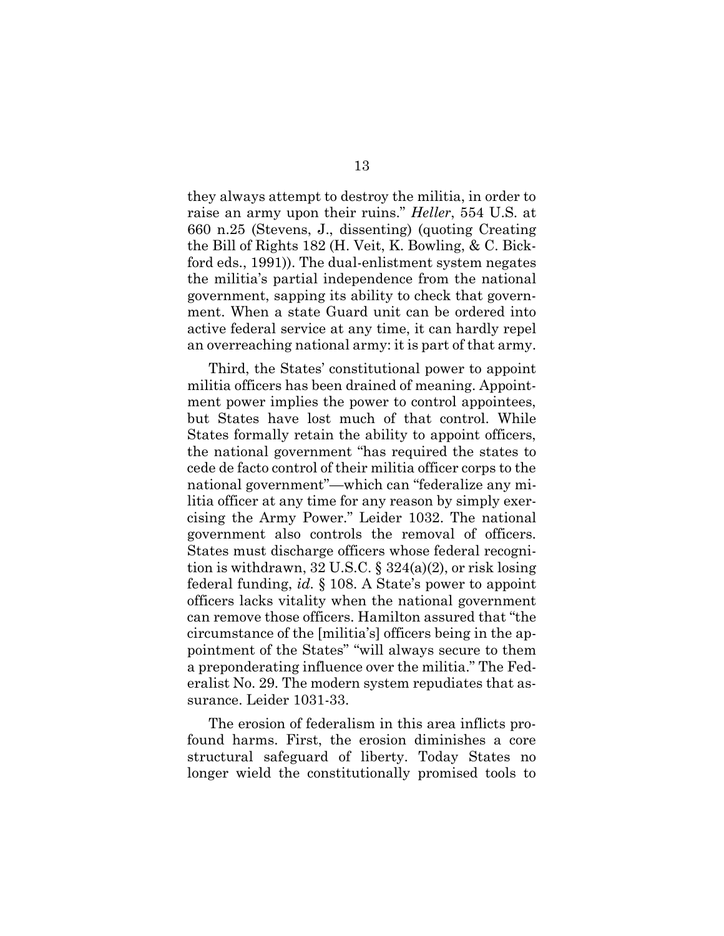they always attempt to destroy the militia, in order to raise an army upon their ruins." *Heller*, 554 U.S. at 660 n.25 (Stevens, J., dissenting) (quoting Creating the Bill of Rights 182 (H. Veit, K. Bowling, & C. Bickford eds., 1991)). The dual-enlistment system negates the militia's partial independence from the national government, sapping its ability to check that government. When a state Guard unit can be ordered into active federal service at any time, it can hardly repel an overreaching national army: it is part of that army.

Third, the States' constitutional power to appoint militia officers has been drained of meaning. Appointment power implies the power to control appointees, but States have lost much of that control. While States formally retain the ability to appoint officers, the national government "has required the states to cede de facto control of their militia officer corps to the national government"—which can "federalize any militia officer at any time for any reason by simply exercising the Army Power." Leider 1032. The national government also controls the removal of officers. States must discharge officers whose federal recognition is withdrawn, 32 U.S.C.  $\S$  324(a)(2), or risk losing federal funding, *id.* § 108. A State's power to appoint officers lacks vitality when the national government can remove those officers. Hamilton assured that "the circumstance of the [militia's] officers being in the appointment of the States" "will always secure to them a preponderating influence over the militia." The Federalist No. 29. The modern system repudiates that assurance. Leider 1031-33.

The erosion of federalism in this area inflicts profound harms. First, the erosion diminishes a core structural safeguard of liberty. Today States no longer wield the constitutionally promised tools to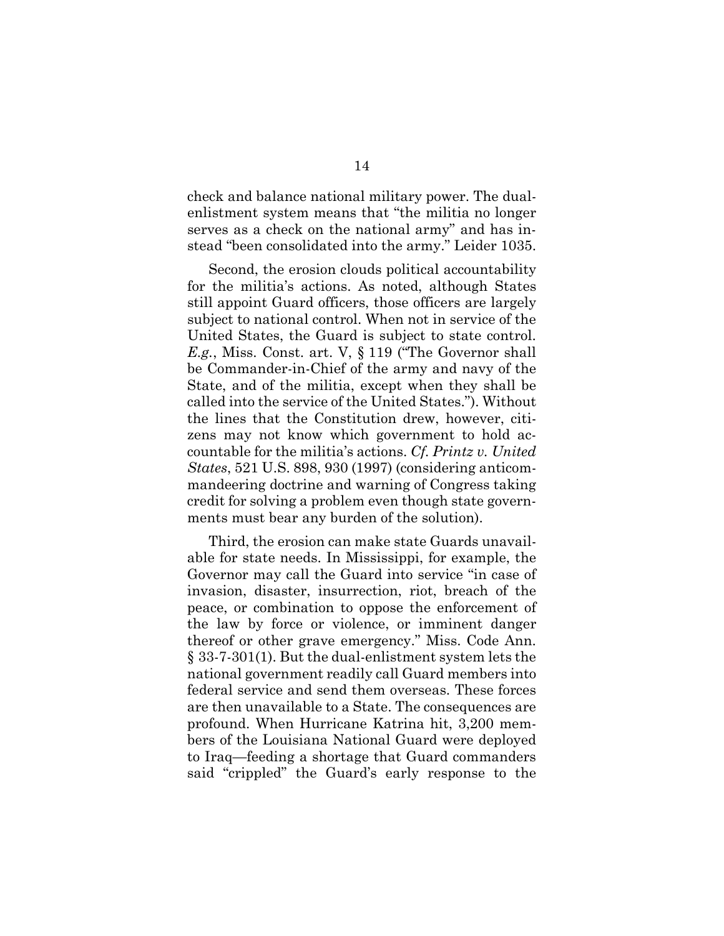check and balance national military power. The dualenlistment system means that "the militia no longer serves as a check on the national army" and has instead "been consolidated into the army." Leider 1035.

Second, the erosion clouds political accountability for the militia's actions. As noted, although States still appoint Guard officers, those officers are largely subject to national control. When not in service of the United States, the Guard is subject to state control. *E.g.*, Miss. Const. art. V, § 119 ("The Governor shall be Commander-in-Chief of the army and navy of the State, and of the militia, except when they shall be called into the service of the United States."). Without the lines that the Constitution drew, however, citizens may not know which government to hold accountable for the militia's actions. *Cf. Printz v. United States*, 521 U.S. 898, 930 (1997) (considering anticommandeering doctrine and warning of Congress taking credit for solving a problem even though state governments must bear any burden of the solution).

Third, the erosion can make state Guards unavailable for state needs. In Mississippi, for example, the Governor may call the Guard into service "in case of invasion, disaster, insurrection, riot, breach of the peace, or combination to oppose the enforcement of the law by force or violence, or imminent danger thereof or other grave emergency." Miss. Code Ann. § 33-7-301(1). But the dual-enlistment system lets the national government readily call Guard members into federal service and send them overseas. These forces are then unavailable to a State. The consequences are profound. When Hurricane Katrina hit, 3,200 members of the Louisiana National Guard were deployed to Iraq—feeding a shortage that Guard commanders said "crippled" the Guard's early response to the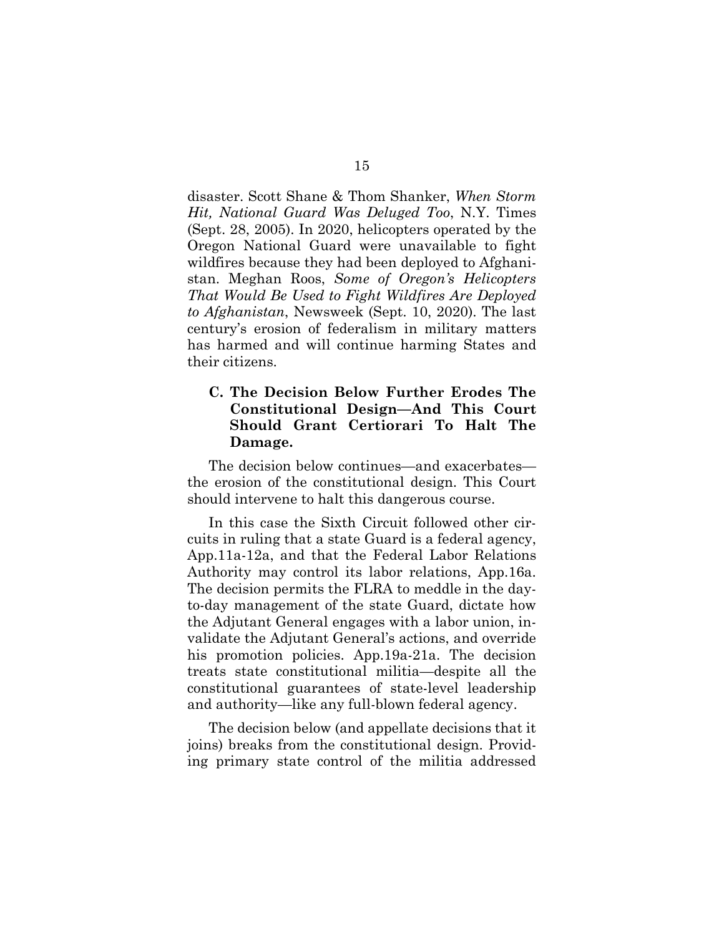disaster. Scott Shane & Thom Shanker, *When Storm Hit, National Guard Was Deluged Too*, N.Y. Times (Sept. 28, 2005). In 2020, helicopters operated by the Oregon National Guard were unavailable to fight wildfires because they had been deployed to Afghanistan. Meghan Roos, *Some of Oregon's Helicopters That Would Be Used to Fight Wildfires Are Deployed to Afghanistan*, Newsweek (Sept. 10, 2020). The last century's erosion of federalism in military matters has harmed and will continue harming States and their citizens.

### **C. The Decision Below Further Erodes The Constitutional Design—And This Court Should Grant Certiorari To Halt The Damage.**

The decision below continues—and exacerbates the erosion of the constitutional design. This Court should intervene to halt this dangerous course.

In this case the Sixth Circuit followed other circuits in ruling that a state Guard is a federal agency, App.11a-12a, and that the Federal Labor Relations Authority may control its labor relations, App.16a. The decision permits the FLRA to meddle in the dayto-day management of the state Guard, dictate how the Adjutant General engages with a labor union, invalidate the Adjutant General's actions, and override his promotion policies. App.19a-21a. The decision treats state constitutional militia—despite all the constitutional guarantees of state-level leadership and authority—like any full-blown federal agency.

The decision below (and appellate decisions that it joins) breaks from the constitutional design. Providing primary state control of the militia addressed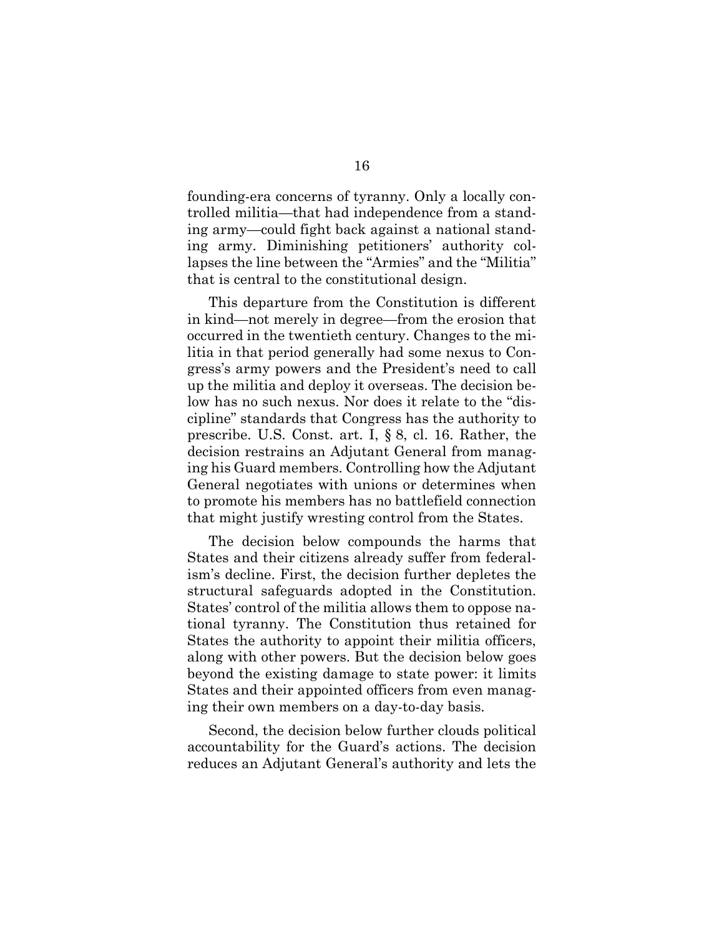founding-era concerns of tyranny. Only a locally controlled militia—that had independence from a standing army—could fight back against a national standing army. Diminishing petitioners' authority collapses the line between the "Armies" and the "Militia" that is central to the constitutional design.

This departure from the Constitution is different in kind—not merely in degree—from the erosion that occurred in the twentieth century. Changes to the militia in that period generally had some nexus to Congress's army powers and the President's need to call up the militia and deploy it overseas. The decision below has no such nexus. Nor does it relate to the "discipline" standards that Congress has the authority to prescribe. U.S. Const. art. I, § 8, cl. 16. Rather, the decision restrains an Adjutant General from managing his Guard members. Controlling how the Adjutant General negotiates with unions or determines when to promote his members has no battlefield connection that might justify wresting control from the States.

The decision below compounds the harms that States and their citizens already suffer from federalism's decline. First, the decision further depletes the structural safeguards adopted in the Constitution. States' control of the militia allows them to oppose national tyranny. The Constitution thus retained for States the authority to appoint their militia officers, along with other powers. But the decision below goes beyond the existing damage to state power: it limits States and their appointed officers from even managing their own members on a day-to-day basis.

Second, the decision below further clouds political accountability for the Guard's actions. The decision reduces an Adjutant General's authority and lets the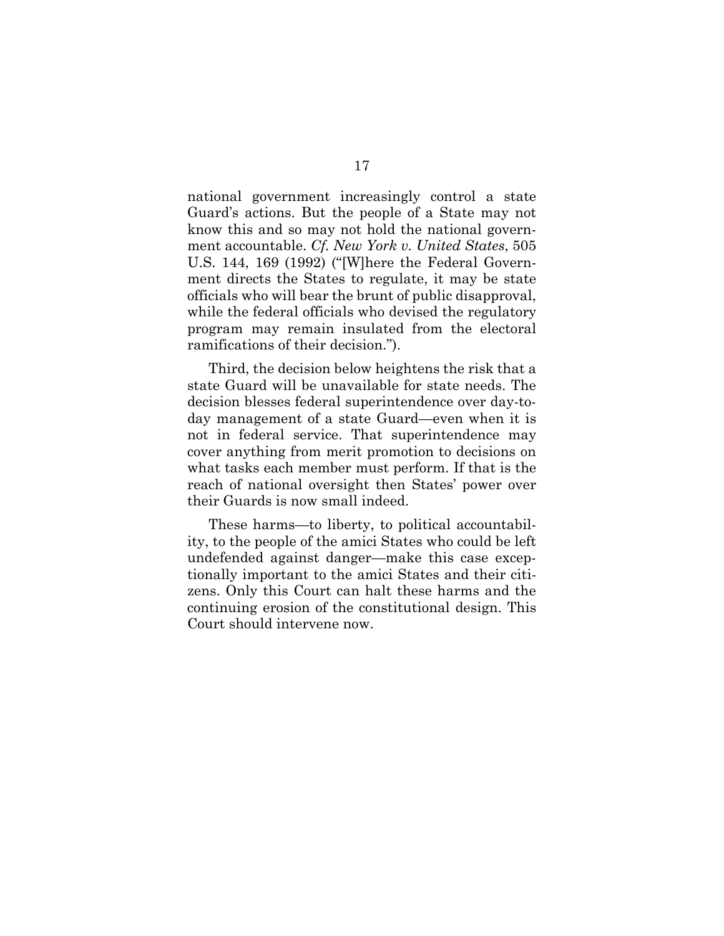national government increasingly control a state Guard's actions. But the people of a State may not know this and so may not hold the national government accountable. *Cf. New York v. United States*, 505 U.S. 144, 169 (1992) ("[W]here the Federal Government directs the States to regulate, it may be state officials who will bear the brunt of public disapproval, while the federal officials who devised the regulatory program may remain insulated from the electoral ramifications of their decision.").

Third, the decision below heightens the risk that a state Guard will be unavailable for state needs. The decision blesses federal superintendence over day-today management of a state Guard—even when it is not in federal service. That superintendence may cover anything from merit promotion to decisions on what tasks each member must perform. If that is the reach of national oversight then States' power over their Guards is now small indeed.

These harms—to liberty, to political accountability, to the people of the amici States who could be left undefended against danger—make this case exceptionally important to the amici States and their citizens. Only this Court can halt these harms and the continuing erosion of the constitutional design. This Court should intervene now.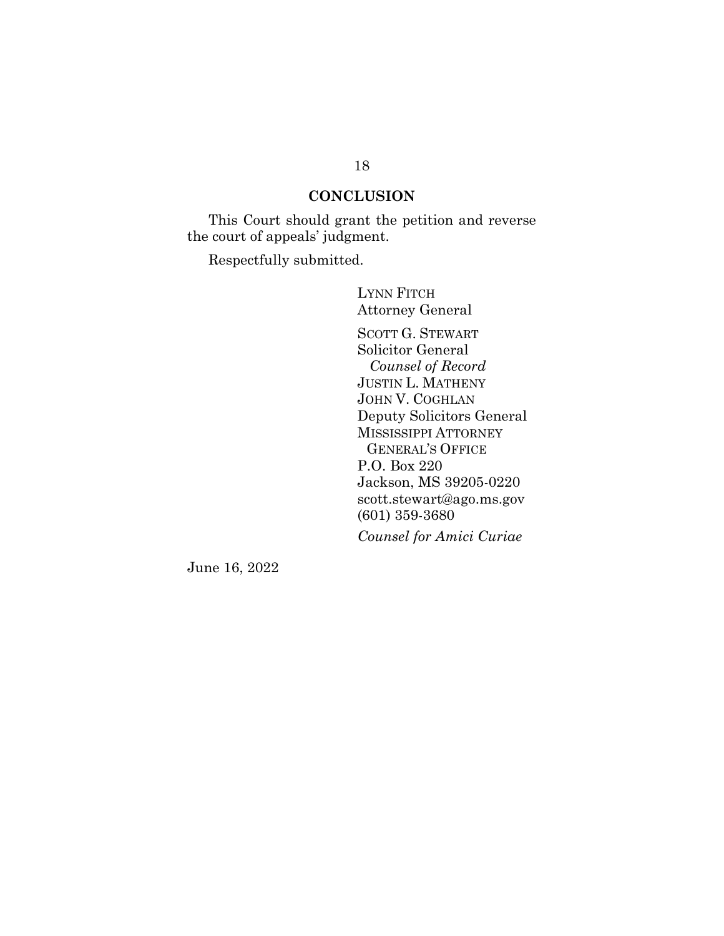### **CONCLUSION**

This Court should grant the petition and reverse the court of appeals' judgment.

Respectfully submitted.

LYNN FITCH Attorney General SCOTT G. STEWART Solicitor General  *Counsel of Record* JUSTIN L. MATHENY JOHN V. COGHLAN Deputy Solicitors General MISSISSIPPI ATTORNEY GENERAL'S OFFICE P.O. Box 220 Jackson, MS 39205-0220 scott.stewart@ago.ms.gov (601) 359-3680 *Counsel for Amici Curiae*

June 16, 2022

#### 18